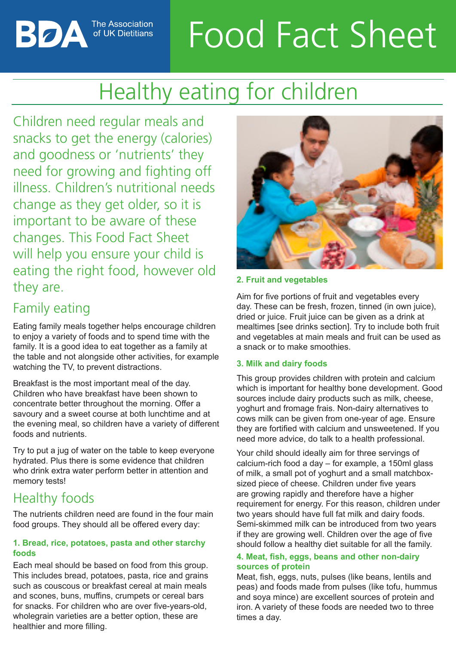# Food Fact Sheet

# Healthy eating for children

Children need regular meals and snacks to get the energy (calories) and goodness or 'nutrients' they need for growing and fighting off illness. Children's nutritional needs change as they get older, so it is important to be aware of these changes. This Food Fact Sheet will help you ensure your child is eating the right food, however old they are.

The Association

of UK Dietitians

# Family eating

Вод

Eating family meals together helps encourage children to enjoy a variety of foods and to spend time with the family. It is a good idea to eat together as a family at the table and not alongside other activities, for example watching the TV, to prevent distractions.

Breakfast is the most important meal of the day. Children who have breakfast have been shown to concentrate better throughout the morning. Offer a savoury and a sweet course at both lunchtime and at the evening meal, so children have a variety of different foods and nutrients.

Try to put a jug of water on the table to keep everyone hydrated. Plus there is some evidence that children who drink extra water perform better in attention and memory tests!

# Healthy foods

The nutrients children need are found in the four main food groups. They should all be offered every day:

#### **1. Bread, rice, potatoes, pasta and other starchy foods**

Each meal should be based on food from this group. This includes bread, potatoes, pasta, rice and grains such as couscous or breakfast cereal at main meals and scones, buns, muffins, crumpets or cereal bars for snacks. For children who are over five-years-old, wholegrain varieties are a better option, these are healthier and more filling.



#### **2. Fruit and vegetables**

Aim for five portions of fruit and vegetables every day. These can be fresh, frozen, tinned (in own juice), dried or juice. Fruit juice can be given as a drink at mealtimes [see drinks section]. Try to include both fruit and vegetables at main meals and fruit can be used as a snack or to make smoothies.

#### **3. Milk and dairy foods**

This group provides children with protein and calcium which is important for healthy bone development. Good sources include dairy products such as milk, cheese, yoghurt and fromage frais. Non-dairy alternatives to cows milk can be given from one-year of age. Ensure they are fortified with calcium and unsweetened. If you need more advice, do talk to a health professional.

Your child should ideally aim for three servings of calcium-rich food a day – for example, a 150ml glass of milk, a small pot of yoghurt and a small matchboxsized piece of cheese. Children under five years are growing rapidly and therefore have a higher requirement for energy. For this reason, children under two years should have full fat milk and dairy foods. Semi-skimmed milk can be introduced from two years if they are growing well. Children over the age of five should follow a healthy diet suitable for all the family.

#### **4. Meat, fish, eggs, beans and other non-dairy sources of protein**

Meat, fish, eggs, nuts, pulses (like beans, lentils and peas) and foods made from pulses (like tofu, hummus and soya mince) are excellent sources of protein and iron. A variety of these foods are needed two to three times a day.